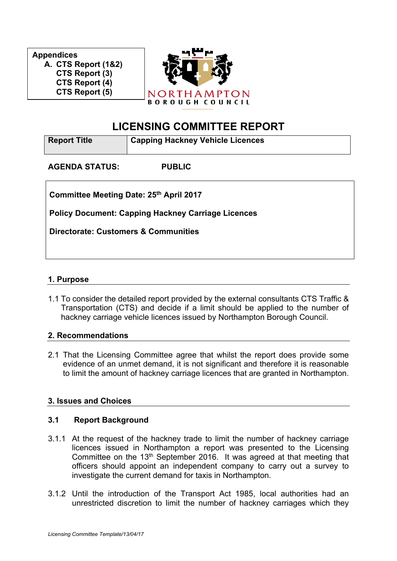**Appendices A. CTS Report (1&2) CTS Report (3) CTS Report (4) CTS Report (5)**



# **LICENSING COMMITTEE REPORT**

| <b>Report Title</b>                                       | <b>Capping Hackney Vehicle Licences</b> |  |
|-----------------------------------------------------------|-----------------------------------------|--|
| <b>AGENDA STATUS:</b>                                     | <b>PUBLIC</b>                           |  |
| Committee Meeting Date: 25th April 2017                   |                                         |  |
| <b>Policy Document: Capping Hackney Carriage Licences</b> |                                         |  |
| <b>Directorate: Customers &amp; Communities</b>           |                                         |  |
|                                                           |                                         |  |

## **1. Purpose**

1.1 To consider the detailed report provided by the external consultants CTS Traffic & Transportation (CTS) and decide if a limit should be applied to the number of hackney carriage vehicle licences issued by Northampton Borough Council.

### **2. Recommendations**

2.1 That the Licensing Committee agree that whilst the report does provide some evidence of an unmet demand, it is not significant and therefore it is reasonable to limit the amount of hackney carriage licences that are granted in Northampton.

# **3. Issues and Choices**

### **3.1 Report Background**

- 3.1.1 At the request of the hackney trade to limit the number of hackney carriage licences issued in Northampton a report was presented to the Licensing Committee on the 13<sup>th</sup> September 2016. It was agreed at that meeting that officers should appoint an independent company to carry out a survey to investigate the current demand for taxis in Northampton.
- 3.1.2 Until the introduction of the Transport Act 1985, local authorities had an unrestricted discretion to limit the number of hackney carriages which they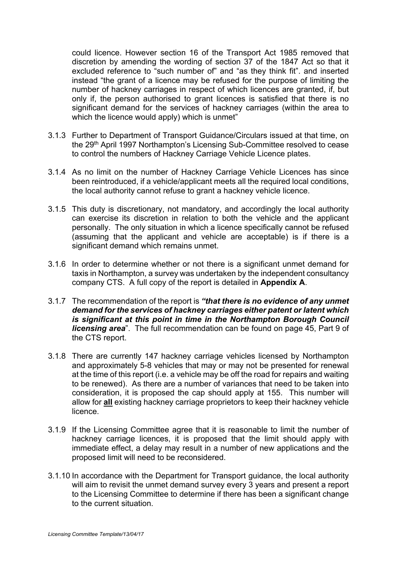could licence. However section 16 of the Transport Act 1985 removed that discretion by amending the wording of section 37 of the 1847 Act so that it excluded reference to "such number of" and "as they think fit". and inserted instead "the grant of a licence may be refused for the purpose of limiting the number of hackney carriages in respect of which licences are granted, if, but only if, the person authorised to grant licences is satisfied that there is no significant demand for the services of hackney carriages (within the area to which the licence would apply) which is unmet"

- 3.1.3 Further to Department of Transport Guidance/Circulars issued at that time, on the 29th April 1997 Northampton's Licensing Sub-Committee resolved to cease to control the numbers of Hackney Carriage Vehicle Licence plates.
- 3.1.4 As no limit on the number of Hackney Carriage Vehicle Licences has since been reintroduced, if a vehicle/applicant meets all the required local conditions, the local authority cannot refuse to grant a hackney vehicle licence.
- 3.1.5 This duty is discretionary, not mandatory, and accordingly the local authority can exercise its discretion in relation to both the vehicle and the applicant personally. The only situation in which a licence specifically cannot be refused (assuming that the applicant and vehicle are acceptable) is if there is a significant demand which remains unmet.
- 3.1.6 In order to determine whether or not there is a significant unmet demand for taxis in Northampton, a survey was undertaken by the independent consultancy company CTS. A full copy of the report is detailed in **Appendix A**.
- 3.1.7 The recommendation of the report is *"that there is no evidence of any unmet demand for the services of hackney carriages either patent or latent which is significant at this point in time in the Northampton Borough Council licensing area*". The full recommendation can be found on page 45, Part 9 of the CTS report.
- 3.1.8 There are currently 147 hackney carriage vehicles licensed by Northampton and approximately 5-8 vehicles that may or may not be presented for renewal at the time of this report (i.e. a vehicle may be off the road for repairs and waiting to be renewed). As there are a number of variances that need to be taken into consideration, it is proposed the cap should apply at 155. This number will allow for **all** existing hackney carriage proprietors to keep their hackney vehicle licence.
- 3.1.9 If the Licensing Committee agree that it is reasonable to limit the number of hackney carriage licences, it is proposed that the limit should apply with immediate effect, a delay may result in a number of new applications and the proposed limit will need to be reconsidered.
- 3.1.10 In accordance with the Department for Transport guidance, the local authority will aim to revisit the unmet demand survey every 3 years and present a report to the Licensing Committee to determine if there has been a significant change to the current situation.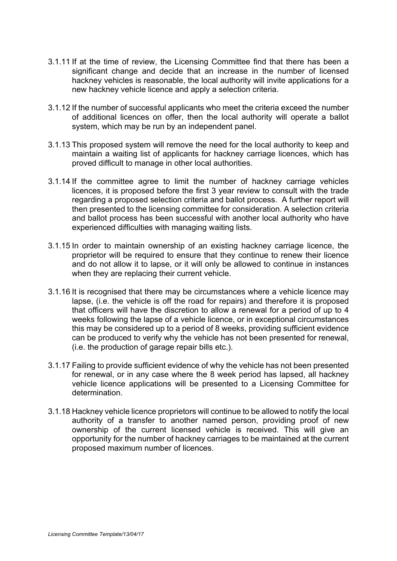- 3.1.11 If at the time of review, the Licensing Committee find that there has been a significant change and decide that an increase in the number of licensed hackney vehicles is reasonable, the local authority will invite applications for a new hackney vehicle licence and apply a selection criteria.
- 3.1.12 If the number of successful applicants who meet the criteria exceed the number of additional licences on offer, then the local authority will operate a ballot system, which may be run by an independent panel.
- 3.1.13 This proposed system will remove the need for the local authority to keep and maintain a waiting list of applicants for hackney carriage licences, which has proved difficult to manage in other local authorities.
- 3.1.14 If the committee agree to limit the number of hackney carriage vehicles licences, it is proposed before the first 3 year review to consult with the trade regarding a proposed selection criteria and ballot process. A further report will then presented to the licensing committee for consideration. A selection criteria and ballot process has been successful with another local authority who have experienced difficulties with managing waiting lists.
- 3.1.15 In order to maintain ownership of an existing hackney carriage licence, the proprietor will be required to ensure that they continue to renew their licence and do not allow it to lapse, or it will only be allowed to continue in instances when they are replacing their current vehicle.
- 3.1.16 It is recognised that there may be circumstances where a vehicle licence may lapse, (i.e. the vehicle is off the road for repairs) and therefore it is proposed that officers will have the discretion to allow a renewal for a period of up to 4 weeks following the lapse of a vehicle licence, or in exceptional circumstances this may be considered up to a period of 8 weeks, providing sufficient evidence can be produced to verify why the vehicle has not been presented for renewal, (i.e. the production of garage repair bills etc.).
- 3.1.17 Failing to provide sufficient evidence of why the vehicle has not been presented for renewal, or in any case where the 8 week period has lapsed, all hackney vehicle licence applications will be presented to a Licensing Committee for determination.
- 3.1.18 Hackney vehicle licence proprietors will continue to be allowed to notify the local authority of a transfer to another named person, providing proof of new ownership of the current licensed vehicle is received. This will give an opportunity for the number of hackney carriages to be maintained at the current proposed maximum number of licences.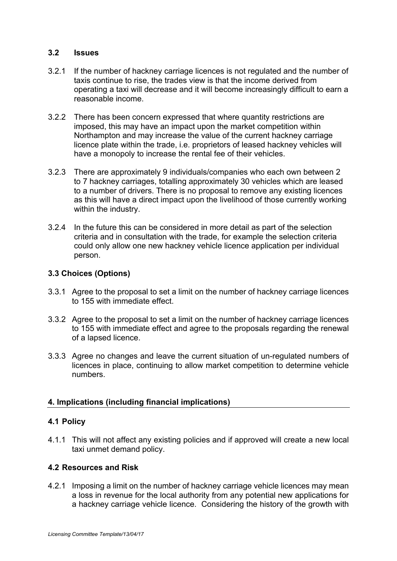#### **3.2 Issues**

- 3.2.1 If the number of hackney carriage licences is not regulated and the number of taxis continue to rise, the trades view is that the income derived from operating a taxi will decrease and it will become increasingly difficult to earn a reasonable income.
- 3.2.2 There has been concern expressed that where quantity restrictions are imposed, this may have an impact upon the market competition within Northampton and may increase the value of the current hackney carriage licence plate within the trade, i.e. proprietors of leased hackney vehicles will have a monopoly to increase the rental fee of their vehicles.
- 3.2.3 There are approximately 9 individuals/companies who each own between 2 to 7 hackney carriages, totalling approximately 30 vehicles which are leased to a number of drivers. There is no proposal to remove any existing licences as this will have a direct impact upon the livelihood of those currently working within the industry.
- 3.2.4 In the future this can be considered in more detail as part of the selection criteria and in consultation with the trade, for example the selection criteria could only allow one new hackney vehicle licence application per individual person.

## **3.3 Choices (Options)**

- 3.3.1 Agree to the proposal to set a limit on the number of hackney carriage licences to 155 with immediate effect.
- 3.3.2 Agree to the proposal to set a limit on the number of hackney carriage licences to 155 with immediate effect and agree to the proposals regarding the renewal of a lapsed licence.
- 3.3.3 Agree no changes and leave the current situation of un-regulated numbers of licences in place, continuing to allow market competition to determine vehicle numbers.

### **4. Implications (including financial implications)**

### **4.1 Policy**

4.1.1 This will not affect any existing policies and if approved will create a new local taxi unmet demand policy.

### **4.2 Resources and Risk**

4.2.1 Imposing a limit on the number of hackney carriage vehicle licences may mean a loss in revenue for the local authority from any potential new applications for a hackney carriage vehicle licence. Considering the history of the growth with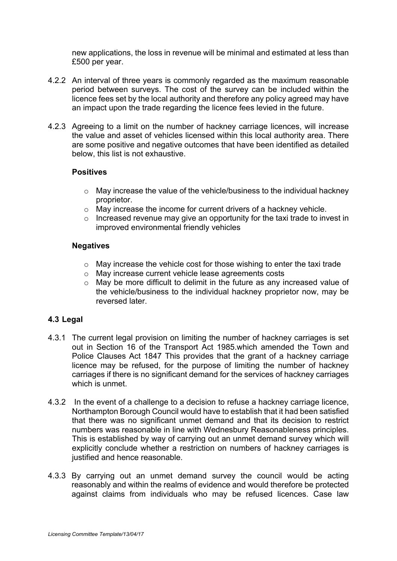new applications, the loss in revenue will be minimal and estimated at less than £500 per year.

- 4.2.2 An interval of three years is commonly regarded as the maximum reasonable period between surveys. The cost of the survey can be included within the licence fees set by the local authority and therefore any policy agreed may have an impact upon the trade regarding the licence fees levied in the future.
- 4.2.3 Agreeing to a limit on the number of hackney carriage licences, will increase the value and asset of vehicles licensed within this local authority area. There are some positive and negative outcomes that have been identified as detailed below, this list is not exhaustive.

### **Positives**

- $\circ$  May increase the value of the vehicle/business to the individual hackney proprietor.
- $\circ$  May increase the income for current drivers of a hackney vehicle.
- $\circ$  Increased revenue may give an opportunity for the taxi trade to invest in improved environmental friendly vehicles

### **Negatives**

- o May increase the vehicle cost for those wishing to enter the taxi trade
- o May increase current vehicle lease agreements costs
- o May be more difficult to delimit in the future as any increased value of the vehicle/business to the individual hackney proprietor now, may be reversed later.

# **4.3 Legal**

- 4.3.1 The current legal provision on limiting the number of hackney carriages is set out in Section 16 of the Transport Act 1985.which amended the Town and Police Clauses Act 1847 This provides that the grant of a hackney carriage licence may be refused, for the purpose of limiting the number of hackney carriages if there is no significant demand for the services of hackney carriages which is unmet.
- 4.3.2 In the event of a challenge to a decision to refuse a hackney carriage licence, Northampton Borough Council would have to establish that it had been satisfied that there was no significant unmet demand and that its decision to restrict numbers was reasonable in line with Wednesbury Reasonableness principles. This is established by way of carrying out an unmet demand survey which will explicitly conclude whether a restriction on numbers of hackney carriages is justified and hence reasonable.
- 4.3.3 By carrying out an unmet demand survey the council would be acting reasonably and within the realms of evidence and would therefore be protected against claims from individuals who may be refused licences. Case law